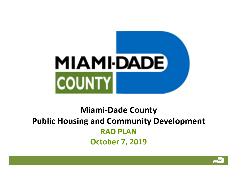

# **Miami-Dade County Public Housing and Community Development RAD PLAN October 7, 2019**

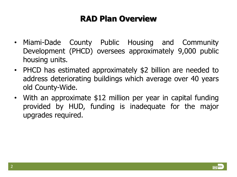- Miami-Dade County Public Housing and Community Development (PHCD) oversees approximately 9,000 public housing units.
- PHCD has estimated approximately \$2 billion are needed to address deteriorating buildings which average over 40 years old County-Wide.
- With an approximate \$12 million per year in capital funding provided by HUD, funding is inadequate for the major upgrades required.

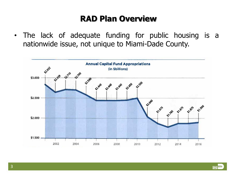• The lack of adequate funding for public housing is a nationwide issue, not unique to Miami-Dade County.



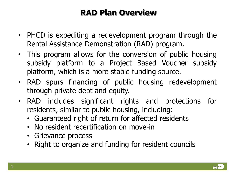- PHCD is expediting a redevelopment program through the Rental Assistance Demonstration (RAD) program.
- This program allows for the conversion of public housing subsidy platform to a Project Based Voucher subsidy platform, which is a more stable funding source.
- RAD spurs financing of public housing redevelopment through private debt and equity.
- RAD includes significant rights and protections for residents, similar to public housing, including:
	- Guaranteed right of return for affected residents
	- No resident recertification on move-in
	- Grievance process
	- Right to organize and funding for resident councils

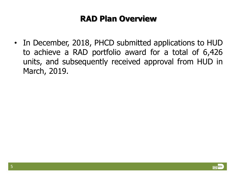• In December, 2018, PHCD submitted applications to HUD to achieve a RAD portfolio award for a total of 6,426 units, and subsequently received approval from HUD in March, 2019.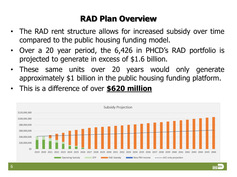- The RAD rent structure allows for increased subsidy over time compared to the public housing funding model.
- Over a 20 year period, the 6,426 in PHCD's RAD portfolio is projected to generate in excess of \$1.6 billion.
- These same units over 20 years would only generate approximately \$1 billion in the public housing funding platform.
- This is a difference of over **\$620 million**

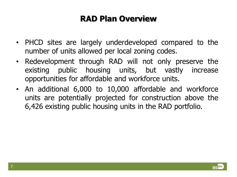- PHCD sites are largely underdeveloped compared to the number of units allowed per local zoning codes.
- Redevelopment through RAD will not only preserve the existing public housing units, but vastly increase opportunities for affordable and workforce units.
- An additional 6,000 to 10,000 affordable and workforce units are potentially projected for construction above the 6,426 existing public housing units in the RAD portfolio.

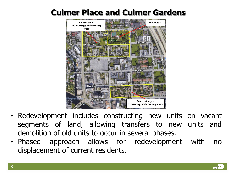### **Culmer Place and Culmer Gardens**



- Redevelopment includes constructing new units on vacant segments of land, allowing transfers to new units and demolition of old units to occur in several phases.
- Phased approach allows for redevelopment with no displacement of current residents.

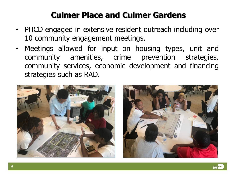# **Culmer Place and Culmer Gardens**

- PHCD engaged in extensive resident outreach including over 10 community engagement meetings.
- Meetings allowed for input on housing types, unit and community amenities, crime prevention strategies, community services, economic development and financing strategies such as RAD.





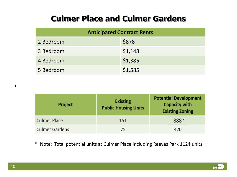#### **Culmer Place and Culmer Gardens**

| <b>Anticipated Contract Rents</b> |         |  |  |
|-----------------------------------|---------|--|--|
| 2 Bedroom                         | \$878   |  |  |
| 3 Bedroom                         | \$1,148 |  |  |
| 4 Bedroom                         | \$1,385 |  |  |
| 5 Bedroom                         | \$1,585 |  |  |

| Project               | <b>Existing</b><br><b>Public Housing Units</b> | <b>Potential Development</b><br><b>Capacity with</b><br><b>Existing Zoning</b> |
|-----------------------|------------------------------------------------|--------------------------------------------------------------------------------|
| <b>Culmer Place</b>   | 151                                            | 888 *                                                                          |
| <b>Culmer Gardens</b> | 75                                             | 420                                                                            |

\* Note: Total potential units at Culmer Place including Reeves Park 1124 units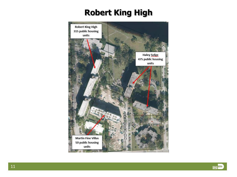# **Robert King High**